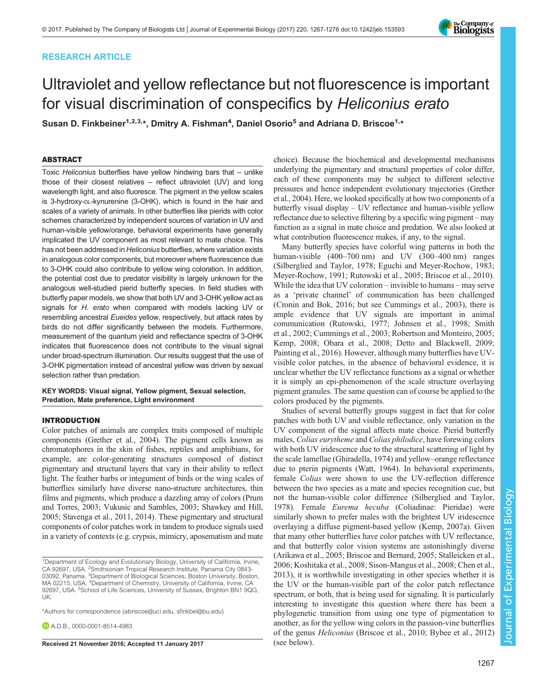# RESEARCH ARTICLE

# Ultraviolet and yellow reflectance but not fluorescence is important for visual discrimination of conspecifics by Heliconius erato

Susan D. Finkbeiner<sup>1,2,3,</sup>\*, Dmitry A. Fishman<sup>4</sup>, Daniel Osorio<sup>5</sup> and Adriana D. Briscoe<sup>1,</sup>\*

# ABSTRACT

Toxic Heliconius butterflies have yellow hindwing bars that – unlike those of their closest relatives – reflect ultraviolet (UV) and long wavelength light, and also fluoresce. The pigment in the yellow scales is 3-hydroxy-DL-kynurenine (3-OHK), which is found in the hair and scales of a variety of animals. In other butterflies like pierids with color schemes characterized by independent sources of variation in UV and human-visible yellow/orange, behavioral experiments have generally implicated the UV component as most relevant to mate choice. This has not been addressed in Heliconius butterflies, where variation exists in analogous color components, but moreover where fluorescence due to 3-OHK could also contribute to yellow wing coloration. In addition, the potential cost due to predator visibility is largely unknown for the analogous well-studied pierid butterfly species. In field studies with butterfly paper models, we show that both UV and 3-OHK yellow act as signals for H. erato when compared with models lacking UV or resembling ancestral Eueides yellow, respectively, but attack rates by birds do not differ significantly between the models. Furthermore, measurement of the quantum yield and reflectance spectra of 3-OHK indicates that fluorescence does not contribute to the visual signal under broad-spectrum illumination. Our results suggest that the use of 3-OHK pigmentation instead of ancestral yellow was driven by sexual selection rather than predation.

KEY WORDS: Visual signal, Yellow pigment, Sexual selection, Predation, Mate preference, Light environment

# INTRODUCTION

Color patches of animals are complex traits composed of multiple components [\(Grether et al., 2004\)](#page-8-0). The pigment cells known as chromatophores in the skin of fishes, reptiles and amphibians, for example, are color-generating structures composed of distinct pigmentary and structural layers that vary in their ability to reflect light. The feather barbs or integument of birds or the wing scales of butterflies similarly have diverse nano-structure architectures, thin films and pigments, which produce a dazzling array of colors ([Prum](#page-8-0) [and Torres, 2003](#page-8-0); [Vukusic and Sambles, 2003](#page-9-0); [Shawkey and Hill,](#page-8-0) [2005;](#page-8-0) [Stavenga et al., 2011](#page-9-0), [2014\)](#page-9-0). These pigmentary and structural components of color patches work in tandem to produce signals used in a variety of contexts (e.g. crypsis, mimicry, aposematism and mate

\*Authors for correspondence ([abriscoe@uci.edu,](mailto:abriscoe@uci.edu) [sfinkbei@bu.edu\)](mailto:sfinkbei@bu.edu)

**D** A D B [0000-0001-8514-4983](http://orcid.org/0000-0001-8514-4983)

Received 21 November 2016; Accepted 11 January 2017 (see below).

choice). Because the biochemical and developmental mechanisms underlying the pigmentary and structural properties of color differ, each of these components may be subject to different selective pressures and hence independent evolutionary trajectories [\(Grether](#page-8-0) [et al., 2004\)](#page-8-0). Here, we looked specifically at how two components of a butterfly visual display – UV reflectance and human-visible yellow reflectance due to selective filtering by a specific wing pigment – may function as a signal in mate choice and predation. We also looked at what contribution fluorescence makes, if any, to the signal.

Many butterfly species have colorful wing patterns in both the human-visible (400–700 nm) and UV (300–400 nm) ranges [\(Silberglied and Taylor, 1978; Eguchi and Meyer-Rochow, 1983](#page-8-0); [Meyer-Rochow, 1991](#page-8-0); [Rutowski et al., 2005;](#page-8-0) [Briscoe et al., 2010\)](#page-7-0). While the idea that UV coloration – invisible to humans – may serve as a 'private channel' of communication has been challenged [\(Cronin and Bok, 2016;](#page-8-0) but see [Cummings et al., 2003](#page-8-0)), there is ample evidence that UV signals are important in animal communication ([Rutowski, 1977; Johnsen et al., 1998;](#page-8-0) [Smith](#page-9-0) [et al., 2002](#page-9-0); [Cummings et al., 2003](#page-8-0); [Robertson and Monteiro, 2005](#page-8-0); [Kemp, 2008; Obara et al., 2008; Detto and Blackwell, 2009](#page-8-0); [Painting et al., 2016\)](#page-8-0). However, although many butterflies have UVvisible color patches, in the absence of behavioral evidence, it is unclear whether the UV reflectance functions as a signal or whether it is simply an epi-phenomenon of the scale structure overlaying pigment granules. The same question can of course be applied to the colors produced by the pigments.

Studies of several butterfly groups suggest in fact that for color patches with both UV and visible reflectance, only variation in the UV component of the signal affects mate choice. Pierid butterfly males, Colias eurytheme and Colias philodice, have forewing colors with both UV iridescence due to the structural scattering of light by the scale lamellae ([Ghiradella, 1974](#page-8-0)) and yellow–orange reflectance due to pterin pigments [\(Watt, 1964](#page-9-0)). In behavioral experiments, female Colias were shown to use the UV-reflection difference between the two species as a mate and species recognition cue, but not the human-visible color difference ([Silberglied and Taylor,](#page-8-0) [1978\)](#page-8-0). Female Eurema hecuba (Coliadinae: Pieridae) were similarly shown to prefer males with the brightest UV iridescence overlaying a diffuse pigment-based yellow ([Kemp, 2007a\)](#page-8-0). Given that many other butterflies have color patches with UV reflectance, and that butterfly color vision systems are astonishingly diverse [\(Arikawa et al., 2005; Briscoe and Bernard, 2005](#page-7-0); [Stalleicken et al.,](#page-9-0) [2006;](#page-9-0) [Koshitaka et al., 2008](#page-8-0); [Sison-Mangus et al., 2008; Chen et al.,](#page-8-0) [2013\)](#page-8-0), it is worthwhile investigating in other species whether it is the UV or the human-visible part of the color patch reflectance spectrum, or both, that is being used for signaling. It is particularly interesting to investigate this question where there has been a phylogenetic transition from using one type of pigmentation to another, as for the yellow wing colors in the passion-vine butterflies of the genus Heliconius ([Briscoe et al., 2010;](#page-7-0) [Bybee et al., 2012\)](#page-8-0)



<sup>1</sup>Department of Ecology and Evolutionary Biology, University of California, Irvine, CA 92697, USA. <sup>2</sup>Smithsonian Tropical Research Institute, Panama City 0843-03092, Panama. <sup>3</sup>Department of Biological Sciences, Boston University, Boston, MA 02215, USA. <sup>4</sup>Department of Chemistry, University of California, Irvine, CA 92697, USA. <sup>5</sup>School of Life Sciences, University of Sussex, Brighton BN1 9QG, UK.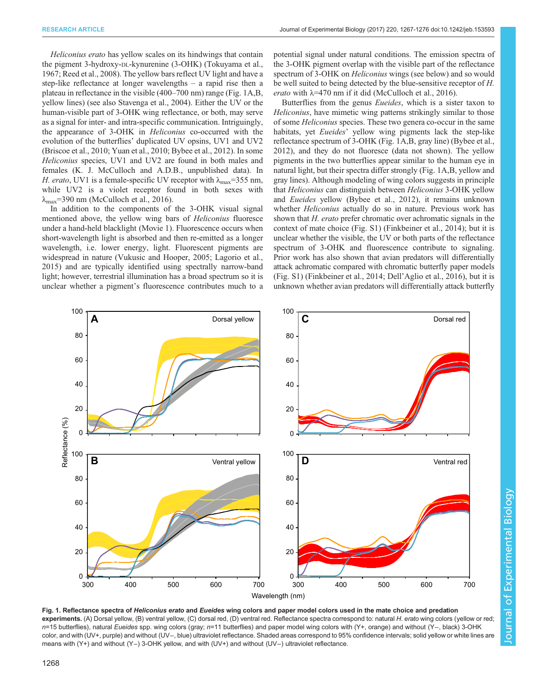<span id="page-1-0"></span>Heliconius erato has yellow scales on its hindwings that contain the pigment 3-hydroxy-DL-kynurenine (3-OHK) ([Tokuyama et al.,](#page-9-0) [1967](#page-9-0); [Reed et al., 2008](#page-8-0)). The yellow bars reflect UV light and have a step-like reflectance at longer wavelengths – a rapid rise then a plateau in reflectance in the visible (400–700 nm) range (Fig. 1A,B, yellow lines) (see also [Stavenga et al., 2004](#page-9-0)). Either the UV or the human-visible part of 3-OHK wing reflectance, or both, may serve as a signal for inter- and intra-specific communication. Intriguingly, the appearance of 3-OHK in Heliconius co-occurred with the evolution of the butterflies' duplicated UV opsins, UV1 and UV2 [\(Briscoe et al., 2010;](#page-7-0) [Yuan et al., 2010](#page-9-0); [Bybee et al., 2012\)](#page-8-0). In some Heliconius species, UV1 and UV2 are found in both males and females (K. J. McCulloch and A.D.B., unpublished data). In H. erato, UV1 is a female-specific UV receptor with  $\lambda_{\text{max}}$ =355 nm, while UV2 is a violet receptor found in both sexes with  $\lambda_{\text{max}}$ =390 nm ([McCulloch et al., 2016\)](#page-8-0).

In addition to the components of the 3-OHK visual signal mentioned above, the yellow wing bars of Heliconius fluoresce under a hand-held blacklight ([Movie 1](http://movie.biologists.com/video/10.1242/jeb.153593/video-1)). Fluorescence occurs when short-wavelength light is absorbed and then re-emitted as a longer wavelength, i.e. lower energy, light. Fluorescent pigments are widespread in nature [\(Vukusic and Hooper, 2005](#page-9-0); [Lagorio et al.,](#page-8-0) [2015](#page-8-0)) and are typically identified using spectrally narrow-band light; however, terrestrial illumination has a broad spectrum so it is unclear whether a pigment's fluorescence contributes much to a potential signal under natural conditions. The emission spectra of the 3-OHK pigment overlap with the visible part of the reflectance spectrum of 3-OHK on *Heliconius* wings (see below) and so would be well suited to being detected by the blue-sensitive receptor of H. erato with  $\lambda$ =470 nm if it did ([McCulloch et al., 2016\)](#page-8-0).

Butterflies from the genus Eueides, which is a sister taxon to Heliconius, have mimetic wing patterns strikingly similar to those of some Heliconius species. These two genera co-occur in the same habitats, yet *Eueides*' yellow wing pigments lack the step-like reflectance spectrum of 3-OHK (Fig. 1A,B, gray line) [\(Bybee et al.,](#page-8-0) [2012\)](#page-8-0), and they do not fluoresce (data not shown). The yellow pigments in the two butterflies appear similar to the human eye in natural light, but their spectra differ strongly (Fig. 1A,B, yellow and gray lines). Although modeling of wing colors suggests in principle that Heliconius can distinguish between Heliconius 3-OHK yellow and Eueides yellow [\(Bybee et al., 2012](#page-8-0)), it remains unknown whether *Heliconius* actually do so in nature. Previous work has shown that H. erato prefer chromatic over achromatic signals in the context of mate choice ([Fig. S1\)](http://jeb.biologists.org/lookup/doi/10.1242/jeb.153593.supplemental) ([Finkbeiner et al., 2014\)](#page-8-0); but it is unclear whether the visible, the UV or both parts of the reflectance spectrum of 3-OHK and fluorescence contribute to signaling. Prior work has also shown that avian predators will differentially attack achromatic compared with chromatic butterfly paper models [\(Fig. S1\)](http://jeb.biologists.org/lookup/doi/10.1242/jeb.153593.supplemental) [\(Finkbeiner et al., 2014;](#page-8-0) Dell'[Aglio et al., 2016](#page-8-0)), but it is unknown whether avian predators will differentially attack butterfly



Fig. 1. Reflectance spectra of Heliconius erato and Eueides wing colors and paper model colors used in the mate choice and predation experiments. (A) Dorsal yellow, (B) ventral yellow, (C) dorsal red, (D) ventral red. Reflectance spectra correspond to: natural H. erato wing colors (yellow or red n=15 butterflies), natural Eueides spp. wing colors (gray; n=11 butterflies) and paper model wing colors with (Y+, orange) and without (Y−, black) 3-OHK color, and with (UV+, purple) and without (UV−, blue) ultraviolet reflectance. Shaded areas correspond to 95% confidence intervals; solid yellow or white lines are means with (Y+) and without (Y−) 3-OHK yellow, and with (UV+) and without (UV−) ultraviolet reflectance.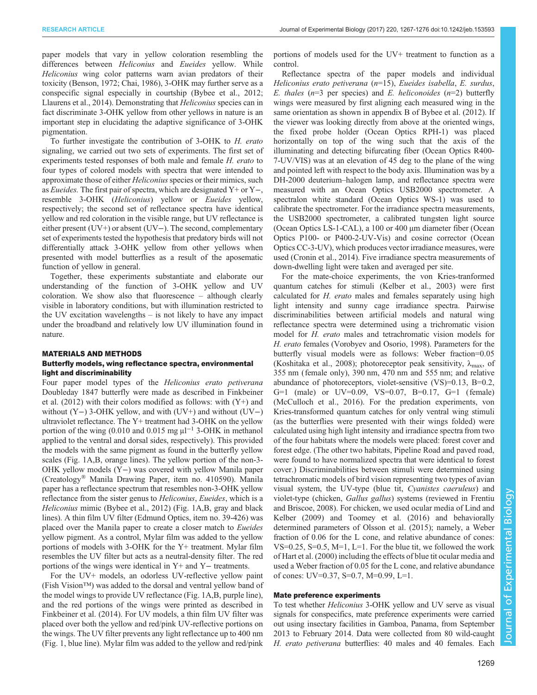paper models that vary in yellow coloration resembling the differences between Heliconius and Eueides yellow. While Heliconius wing color patterns warn avian predators of their toxicity ([Benson, 1972;](#page-7-0) [Chai, 1986](#page-8-0)), 3-OHK may further serve as a conspecific signal especially in courtship [\(Bybee et al., 2012](#page-8-0); [Llaurens et al., 2014](#page-8-0)). Demonstrating that Heliconius species can in fact discriminate 3-OHK yellow from other yellows in nature is an important step in elucidating the adaptive significance of 3-OHK pigmentation.

To further investigate the contribution of 3-OHK to H. erato signaling, we carried out two sets of experiments. The first set of experiments tested responses of both male and female H. erato to four types of colored models with spectra that were intended to approximate those of either *Heliconius* species or their mimics, such as Eueides. The first pair of spectra, which are designated Y+ or Y−, resemble 3-OHK (Heliconius) yellow or Eueides yellow, respectively; the second set of reflectance spectra have identical yellow and red coloration in the visible range, but UV reflectance is either present (UV+) or absent (UV−). The second, complementary set of experiments tested the hypothesis that predatory birds will not differentially attack 3-OHK yellow from other yellows when presented with model butterflies as a result of the aposematic function of yellow in general.

Together, these experiments substantiate and elaborate our understanding of the function of 3-OHK yellow and UV coloration. We show also that fluorescence – although clearly visible in laboratory conditions, but with illumination restricted to the UV excitation wavelengths – is not likely to have any impact under the broadband and relatively low UV illumination found in nature.

## MATERIALS AND METHODS Butterfly models, wing reflectance spectra, environmental light and discriminability

Four paper model types of the Heliconius erato petiverana Doubleday 1847 butterfly were made as described in [Finkbeiner](#page-8-0) et al.  $(2012)$  with their colors modified as follows: with  $(Y+)$  and without (Y−) 3-OHK yellow, and with (UV+) and without (UV−) ultraviolet reflectance. The Y+ treatment had 3-OHK on the yellow portion of the wing (0.010 and 0.015 mg  $\mu$ l<sup>-1</sup> 3-OHK in methanol applied to the ventral and dorsal sides, respectively). This provided the models with the same pigment as found in the butterfly yellow scales [\(Fig. 1A](#page-1-0),B, orange lines). The yellow portion of the non-3- OHK yellow models (Y−) was covered with yellow Manila paper (Creatology® Manila Drawing Paper, item no. 410590). Manila paper has a reflectance spectrum that resembles non-3-OHK yellow reflectance from the sister genus to Heliconius, Eueides, which is a Heliconius mimic ([Bybee et al., 2012\)](#page-8-0) ([Fig. 1](#page-1-0)A,B, gray and black lines). A thin film UV filter (Edmund Optics, item no. 39-426) was placed over the Manila paper to create a closer match to Eueides yellow pigment. As a control, Mylar film was added to the yellow portions of models with 3-OHK for the Y+ treatment. Mylar film resembles the UV filter but acts as a neutral-density filter. The red portions of the wings were identical in Y+ and Y− treatments.

For the UV+ models, an odorless UV-reflective yellow paint (Fish Vision™) was added to the dorsal and ventral yellow band of the model wings to provide UV reflectance ([Fig. 1](#page-1-0)A,B, purple line), and the red portions of the wings were printed as described in [Finkbeiner et al. \(2014\).](#page-8-0) For UV models, a thin film UV filter was placed over both the yellow and red/pink UV-reflective portions on the wings. The UV filter prevents any light reflectance up to 400 nm [\(Fig. 1](#page-1-0), blue line). Mylar film was added to the yellow and red/pink

portions of models used for the UV+ treatment to function as a control.

Reflectance spectra of the paper models and individual Heliconius erato petiverana (n=15), Eueides isabella, E. surdus, E. thales ( $n=3$  per species) and E. heliconoides ( $n=2$ ) butterfly wings were measured by first aligning each measured wing in the same orientation as shown in appendix B of [Bybee et al. \(2012\).](#page-8-0) If the viewer was looking directly from above at the oriented wings, the fixed probe holder (Ocean Optics RPH-1) was placed horizontally on top of the wing such that the axis of the illuminating and detecting bifurcating fiber (Ocean Optics R400- 7-UV/VIS) was at an elevation of 45 deg to the plane of the wing and pointed left with respect to the body axis. Illumination was by a DH-2000 deuterium–halogen lamp, and reflectance spectra were measured with an Ocean Optics USB2000 spectrometer. A spectralon white standard (Ocean Optics WS-1) was used to calibrate the spectrometer. For the irradiance spectra measurements, the USB2000 spectrometer, a calibrated tungsten light source (Ocean Optics LS-1-CAL), a 100 or 400 µm diameter fiber (Ocean Optics P100- or P400-2-UV-Vis) and cosine corrector (Ocean Optics CC-3-UV), which produces vector irradiance measures, were used ([Cronin et al., 2014](#page-8-0)). Five irradiance spectra measurements of down-dwelling light were taken and averaged per site.

For the mate-choice experiments, the von Kries-tranformed quantum catches for stimuli [\(Kelber et al., 2003\)](#page-8-0) were first calculated for H. erato males and females separately using high light intensity and sunny cage irradiance spectra. Pairwise discriminabilities between artificial models and natural wing reflectance spectra were determined using a trichromatic vision model for H. erato males and tetrachromatic vision models for H. erato females ([Vorobyev and Osorio, 1998\)](#page-9-0). Parameters for the butterfly visual models were as follows: Weber fraction=0.05 [\(Koshitaka et al., 2008\)](#page-8-0); photoreceptor peak sensitivity,  $\lambda_{\text{max}}$ , of 355 nm (female only), 390 nm, 470 nm and 555 nm; and relative abundance of photoreceptors, violet-sensitive (VS)=0.13, B=0.2, G=1 (male) or UV=0.09, VS=0.07, B=0.17, G=1 (female) [\(McCulloch et al., 2016\)](#page-8-0). For the predation experiments, von Kries-transformed quantum catches for only ventral wing stimuli (as the butterflies were presented with their wings folded) were calculated using high light intensity and irradiance spectra from two of the four habitats where the models were placed: forest cover and forest edge. (The other two habitats, Pipeline Road and paved road, were found to have normalized spectra that were identical to forest cover.) Discriminabilities between stimuli were determined using tetrachromatic models of bird vision representing two types of avian visual system, the UV-type (blue tit, Cyanistes caeruleus) and violet-type (chicken, Gallus gallus) systems (reviewed in [Frentiu](#page-8-0) [and Briscoe, 2008](#page-8-0)). For chicken, we used ocular media of [Lind and](#page-8-0) [Kelber \(2009\)](#page-8-0) and [Toomey et al. \(2016\)](#page-9-0) and behaviorally determined parameters of [Olsson et al. \(2015\);](#page-8-0) namely, a Weber fraction of 0.06 for the L cone, and relative abundance of cones: VS=0.25, S=0.5, M=1, L=1. For the blue tit, we followed the work of [Hart et al. \(2000\)](#page-8-0) including the effects of blue tit ocular media and used a Weber fraction of 0.05 for the L cone, and relative abundance of cones: UV=0.37, S=0.7, M=0.99, L=1.

## Mate preference experiments

To test whether Heliconius 3-OHK yellow and UV serve as visual signals for conspecifics, mate preference experiments were carried out using insectary facilities in Gamboa, Panama, from September 2013 to February 2014. Data were collected from 80 wild-caught H. erato petiverana butterflies: 40 males and 40 females. Each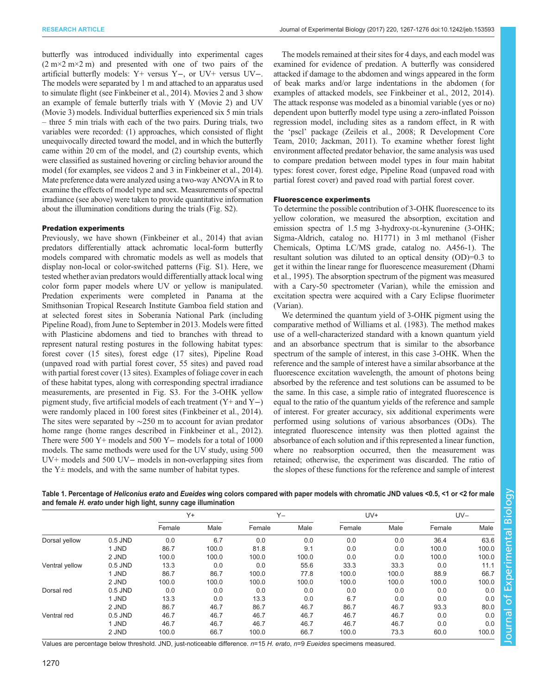<span id="page-3-0"></span>butterfly was introduced individually into experimental cages  $(2 \text{ m} \times 2 \text{ m})$  and presented with one of two pairs of the artificial butterfly models: Y+ versus Y−, or UV+ versus UV−. The models were separated by 1 m and attached to an apparatus used to simulate flight (see [Finkbeiner et al., 2014](#page-8-0)). [Movies 2](http://movie.biologists.com/video/10.1242/jeb.153593/video-2) and [3](http://movie.biologists.com/video/10.1242/jeb.153593/video-3) show an example of female butterfly trials with Y [\(Movie 2\)](http://movie.biologists.com/video/10.1242/jeb.153593/video-2) and UV [\(Movie 3](http://movie.biologists.com/video/10.1242/jeb.153593/video-3)) models. Individual butterflies experienced six 5 min trials – three 5 min trials with each of the two pairs. During trials, two variables were recorded: (1) approaches, which consisted of flight unequivocally directed toward the model, and in which the butterfly came within 20 cm of the model, and (2) courtship events, which were classified as sustained hovering or circling behavior around the model (for examples, see videos 2 and 3 in [Finkbeiner et al., 2014\)](#page-8-0). Mate preference data were analyzed using a two-way ANOVA in R to examine the effects of model type and sex. Measurements of spectral irradiance (see above) were taken to provide quantitative information about the illumination conditions during the trials ([Fig. S2\)](http://jeb.biologists.org/lookup/doi/10.1242/jeb.153593.supplemental).

#### Predation experiments

Previously, we have shown [\(Finkbeiner et al., 2014](#page-8-0)) that avian predators differentially attack achromatic local-form butterfly models compared with chromatic models as well as models that display non-local or color-switched patterns [\(Fig. S1](http://jeb.biologists.org/lookup/doi/10.1242/jeb.153593.supplemental)). Here, we tested whether avian predators would differentially attack local wing color form paper models where UV or yellow is manipulated. Predation experiments were completed in Panama at the Smithsonian Tropical Research Institute Gamboa field station and at selected forest sites in Soberanía National Park (including Pipeline Road), from June to September in 2013. Models were fitted with Plasticine abdomens and tied to branches with thread to represent natural resting postures in the following habitat types: forest cover (15 sites), forest edge (17 sites), Pipeline Road (unpaved road with partial forest cover, 55 sites) and paved road with partial forest cover (13 sites). Examples of foliage cover in each of these habitat types, along with corresponding spectral irradiance measurements, are presented in [Fig. S3.](http://jeb.biologists.org/lookup/doi/10.1242/jeb.153593.supplemental) For the 3-OHK yellow pigment study, five artificial models of each treatment (Y+ and Y−) were randomly placed in 100 forest sites [\(Finkbeiner et al., 2014\)](#page-8-0). The sites were separated by ∼250 m to account for avian predator home range (home ranges described in [Finkbeiner et al., 2012\)](#page-8-0). There were 500 Y+ models and 500 Y− models for a total of 1000 models. The same methods were used for the UV study, using 500 UV+ models and 500 UV− models in non-overlapping sites from the  $Y\pm$  models, and with the same number of habitat types.

The models remained at their sites for 4 days, and each model was examined for evidence of predation. A butterfly was considered attacked if damage to the abdomen and wings appeared in the form of beak marks and/or large indentations in the abdomen (for examples of attacked models, see [Finkbeiner et al., 2012, 2014\)](#page-8-0). The attack response was modeled as a binomial variable (yes or no) dependent upon butterfly model type using a zero-inflated Poisson regression model, including sites as a random effect, in R with the 'pscl' package ([Zeileis et al., 2008](#page-9-0); [R Development Core](#page-8-0) [Team, 2010](#page-8-0); [Jackman, 2011](#page-8-0)). To examine whether forest light environment affected predator behavior, the same analysis was used to compare predation between model types in four main habitat types: forest cover, forest edge, Pipeline Road (unpaved road with partial forest cover) and paved road with partial forest cover.

#### Fluorescence experiments

To determine the possible contribution of 3-OHK fluorescence to its yellow coloration, we measured the absorption, excitation and emission spectra of 1.5 mg 3-hydroxy-DL-kynurenine (3-OHK; Sigma-Aldrich, catalog no. H1771) in 3 ml methanol (Fisher Chemicals, Optima LC/MS grade, catalog no. A456-1). The resultant solution was diluted to an optical density (OD)=0.3 to get it within the linear range for fluorescence measurement [\(Dhami](#page-8-0) [et al., 1995](#page-8-0)). The absorption spectrum of the pigment was measured with a Cary-50 spectrometer (Varian), while the emission and excitation spectra were acquired with a Cary Eclipse fluorimeter (Varian).

We determined the quantum yield of 3-OHK pigment using the comparative method of [Williams et al. \(1983\)](#page-9-0). The method makes use of a well-characterized standard with a known quantum yield and an absorbance spectrum that is similar to the absorbance spectrum of the sample of interest, in this case 3-OHK. When the reference and the sample of interest have a similar absorbance at the fluorescence excitation wavelength, the amount of photons being absorbed by the reference and test solutions can be assumed to be the same. In this case, a simple ratio of integrated fluorescence is equal to the ratio of the quantum yields of the reference and sample of interest. For greater accuracy, six additional experiments were performed using solutions of various absorbances (ODs). The integrated fluorescence intensity was then plotted against the absorbance of each solution and if this represented a linear function, where no reabsorption occurred, then the measurement was retained; otherwise, the experiment was discarded. The ratio of the slopes of these functions for the reference and sample of interest

> Journal of Experimental Biologylournal of Experimental Biology

Table 1. Percentage of Heliconius erato and Eueides wing colors compared with paper models with chromatic JND values <0.5, <1 or <2 for male and female H. erato under high light, sunny cage illumination

|                |           | $Y +$  |       | $Y -$  |       | UV+    |       | $UV -$ |       |
|----------------|-----------|--------|-------|--------|-------|--------|-------|--------|-------|
|                |           | Female | Male  | Female | Male  | Female | Male  | Female | Male  |
| Dorsal yellow  | 0.5 JND   | 0.0    | 6.7   | 0.0    | 0.0   | 0.0    | 0.0   | 36.4   | 63.6  |
|                | 1 JND     | 86.7   | 100.0 | 81.8   | 9.1   | 0.0    | 0.0   | 100.0  | 100.0 |
|                | 2 JND     | 100.0  | 100.0 | 100.0  | 100.0 | 0.0    | 0.0   | 100.0  | 100.0 |
| Ventral yellow | $0.5$ JND | 13.3   | 0.0   | 0.0    | 55.6  | 33.3   | 33.3  | 0.0    | 11.1  |
|                | 1 JND     | 86.7   | 86.7  | 100.0  | 77.8  | 100.0  | 100.0 | 88.9   | 66.7  |
|                | 2 JND     | 100.0  | 100.0 | 100.0  | 100.0 | 100.0  | 100.0 | 100.0  | 100.0 |
| Dorsal red     | $0.5$ JND | 0.0    | 0.0   | 0.0    | 0.0   | 0.0    | 0.0   | 0.0    | 0.0   |
|                | 1 JND     | 13.3   | 0.0   | 13.3   | 0.0   | 6.7    | 0.0   | 0.0    | 0.0   |
|                | 2 JND     | 86.7   | 46.7  | 86.7   | 46.7  | 86.7   | 46.7  | 93.3   | 80.0  |
| Ventral red    | $0.5$ JND | 46.7   | 46.7  | 46.7   | 46.7  | 46.7   | 46.7  | 0.0    | 0.0   |
|                | 1 JND     | 46.7   | 46.7  | 46.7   | 46.7  | 46.7   | 46.7  | 0.0    | 0.0   |
|                | 2 JND     | 100.0  | 66.7  | 100.0  | 66.7  | 100.0  | 73.3  | 60.0   | 100.0 |

Values are percentage below threshold. JND, just-noticeable difference. n=15 H. erato, n=9 Eueides specimens measured.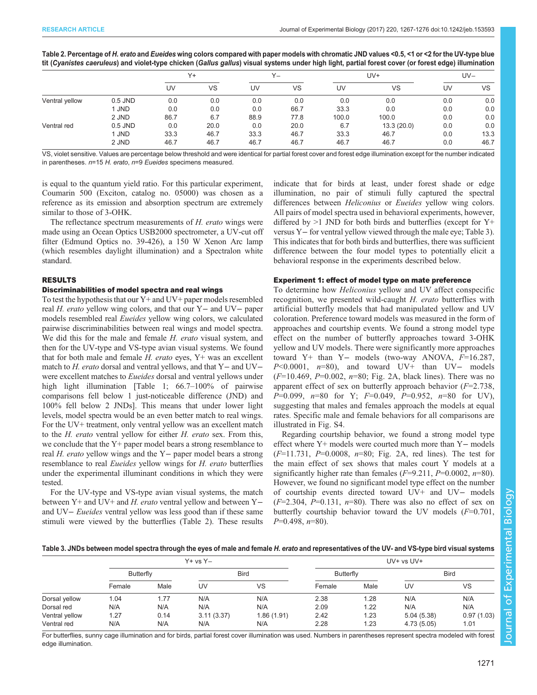|  |  | Table 2. Percentage of H. erato and Eueides wing colors compared with paper models with chromatic JND values <0.5, <1 or <2 for the UV-type blue                        |
|--|--|-------------------------------------------------------------------------------------------------------------------------------------------------------------------------|
|  |  | tit ( <i>Cyanistes caeruleus</i> ) and violet-type chicken ( <i>Gallus gallus</i> ) visual systems under high light, partial forest cover (or forest edge) illumination |

|                |           | $Y +$ |      | $Y -$ |      | UV+   |            | $UV -$ |      |
|----------------|-----------|-------|------|-------|------|-------|------------|--------|------|
|                |           | UV    | VS   | UV    | VS   | UV    | VS         | UV     | VS   |
| Ventral yellow | $0.5$ JND | 0.0   | 0.0  | 0.0   | 0.0  | 0.0   | 0.0        | 0.0    | 0.0  |
|                | 1 JND     | 0.0   | 0.0  | 0.0   | 66.7 | 33.3  | 0.0        | 0.0    | 0.0  |
|                | 2 JND     | 86.7  | 6.7  | 88.9  | 77.8 | 100.0 | 100.0      | 0.0    | 0.0  |
| Ventral red    | $0.5$ JND | 0.0   | 20.0 | 0.0   | 20.0 | 6.7   | 13.3(20.0) | 0.0    | 0.0  |
|                | 1 JND     | 33.3  | 46.7 | 33.3  | 46.7 | 33.3  | 46.7       | 0.0    | 13.3 |
|                | 2 JND     | 46.7  | 46.7 | 46.7  | 46.7 | 46.7  | 46.7       | 0.0    | 46.7 |

VS, violet sensitive. Values are percentage below threshold and were identical for partial forest cover and forest edge illumination except for the number indicated in parentheses. n=15 H. erato, n=9 Eueides specimens measured.

is equal to the quantum yield ratio. For this particular experiment, Coumarin 500 (Exciton, catalog no. 05000) was chosen as a reference as its emission and absorption spectrum are extremely similar to those of 3-OHK.

The reflectance spectrum measurements of H. erato wings were made using an Ocean Optics USB2000 spectrometer, a UV-cut off filter (Edmund Optics no. 39-426), a 150 W Xenon Arc lamp (which resembles daylight illumination) and a Spectralon white standard.

# RESULTS

# Discriminabilities of model spectra and real wings

To test the hypothesis that our Y+ and UV+ paper models resembled real H. erato yellow wing colors, and that our Y− and UV− paper models resembled real Eueides yellow wing colors, we calculated pairwise discriminabilities between real wings and model spectra. We did this for the male and female H. erato visual system, and then for the UV-type and VS-type avian visual systems. We found that for both male and female  $H$ . erato eyes,  $Y$ + was an excellent match to H. erato dorsal and ventral yellows, and that Y− and UV− were excellent matches to Eueides dorsal and ventral yellows under high light illumination [[Table 1;](#page-3-0) 66.7–100% of pairwise comparisons fell below 1 just-noticeable difference (JND) and 100% fell below 2 JNDs]. This means that under lower light levels, model spectra would be an even better match to real wings. For the UV+ treatment, only ventral yellow was an excellent match to the  $H$ . erato ventral yellow for either  $H$ . erato sex. From this, we conclude that the Y+ paper model bears a strong resemblance to real H. erato yellow wings and the Y− paper model bears a strong resemblance to real *Eueides* yellow wings for *H. erato* butterflies under the experimental illuminant conditions in which they were tested.

For the UV-type and VS-type avian visual systems, the match between Y+ and UV+ and H. erato ventral yellow and between Yand UV− Eueides ventral yellow was less good than if these same stimuli were viewed by the butterflies (Table 2). These results indicate that for birds at least, under forest shade or edge illumination, no pair of stimuli fully captured the spectral differences between Heliconius or Eueides yellow wing colors. All pairs of model spectra used in behavioral experiments, however, differed by  $>1$  JND for both birds and butterflies (except for  $Y^+$ versus Y− for ventral yellow viewed through the male eye; Table 3). This indicates that for both birds and butterflies, there was sufficient difference between the four model types to potentially elicit a behavioral response in the experiments described below.

# Experiment 1: effect of model type on mate preference

To determine how Heliconius yellow and UV affect conspecific recognition, we presented wild-caught H. erato butterflies with artificial butterfly models that had manipulated yellow and UV coloration. Preference toward models was measured in the form of approaches and courtship events. We found a strong model type effect on the number of butterfly approaches toward 3-OHK yellow and UV models. There were significantly more approaches toward Y+ than Y− models (two-way ANOVA, F=16.287, P<0.0001, n=80), and toward UV+ than UV- models  $(F=10.469, P=0.002, n=80; Fig. 2A, black lines)$  $(F=10.469, P=0.002, n=80; Fig. 2A, black lines)$  $(F=10.469, P=0.002, n=80; Fig. 2A, black lines)$ . There was no apparent effect of sex on butterfly approach behavior  $(F=2.738,$  $P=0.099$ ,  $n=80$  for Y;  $F=0.049$ ,  $P=0.952$ ,  $n=80$  for UV), suggesting that males and females approach the models at equal rates. Specific male and female behaviors for all comparisons are illustrated in [Fig. S4.](http://jeb.biologists.org/lookup/doi/10.1242/jeb.153593.supplemental)

Regarding courtship behavior, we found a strong model type effect where Y+ models were courted much more than Y− models  $(F=11.731, P=0.0008, n=80; Fig. 2A, red lines)$  $(F=11.731, P=0.0008, n=80; Fig. 2A, red lines)$  $(F=11.731, P=0.0008, n=80; Fig. 2A, red lines)$ . The test for the main effect of sex shows that males court Y models at a significantly higher rate than females ( $F=9.211$ ,  $P=0.0002$ ,  $n=80$ ). However, we found no significant model type effect on the number of courtship events directed toward UV+ and UV− models  $(F=2.304, P=0.131, n=80)$ . There was also no effect of sex on butterfly courtship behavior toward the UV models  $(F=0.701,$  $P=0.498$ ,  $n=80$ ).

Table 3. JNDs between model spectra through the eyes of male and female H. erato and representatives of the UV- and VS-type bird visual systems

|                | $Y + vs Y -$     |      |             |            | UV+ vs UV+       |      |             |            |
|----------------|------------------|------|-------------|------------|------------------|------|-------------|------------|
|                | <b>Butterfly</b> |      | <b>Bird</b> |            | <b>Butterfly</b> |      | <b>Bird</b> |            |
|                | Female           | Male | UV          | VS         | Female           | Male | UV          | VS         |
| Dorsal yellow  | 1.04             | 1.77 | N/A         | N/A        | 2.38             | 1.28 | N/A         | N/A        |
| Dorsal red     | N/A              | N/A  | N/A         | N/A        | 2.09             | 1.22 | N/A         | N/A        |
| Ventral yellow | 1.27             | 0.14 | 3.11(3.37)  | 1.86(1.91) | 2.42             | 1.23 | 5.04(5.38)  | 0.97(1.03) |
| Ventral red    | N/A              | N/A  | N/A         | N/A        | 2.28             | 1.23 | 4.73(5.05)  | 1.01       |

For butterflies, sunny cage illumination and for birds, partial forest cover illumination was used. Numbers in parentheses represent spectra modeled with forest edge illumination.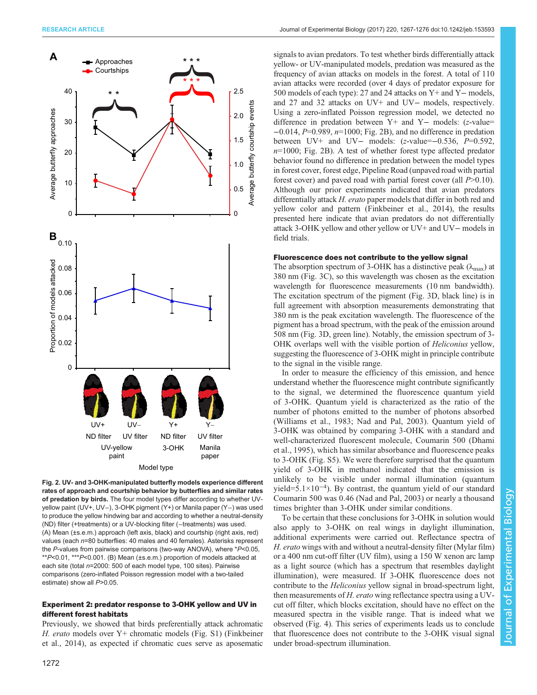<span id="page-5-0"></span>

Fig. 2. UV- and 3-OHK-manipulated butterfly models experience different rates of approach and courtship behavior by butterflies and similar rates of predation by birds. The four model types differ according to whether UVyellow paint (UV+, UV−), 3-OHK pigment (Y+) or Manila paper (Y−) was used to produce the yellow hindwing bar and according to whether a neutral-density (ND) filter (+treatments) or a UV-blocking filter (−treatments) was used. (A) Mean (±s.e.m.) approach (left axis, black) and courtship (right axis, red) values (each  $n=80$  butterflies: 40 males and 40 females). Asterisks represent the P-values from pairwise comparisons (two-way ANOVA), where \*P<0.05, \*\*P<0.01, \*\*\*P<0.001. (B) Mean (±s.e.m.) proportion of models attacked at each site (total n=2000: 500 of each model type, 100 sites). Pairwise comparisons (zero-inflated Poisson regression model with a two-tailed estimate) show all P>0.05.

# Experiment 2: predator response to 3-OHK yellow and UV in different forest habitats

Previously, we showed that birds preferentially attack achromatic H. erato models over Y+ chromatic models ([Fig. S1\)](http://jeb.biologists.org/lookup/doi/10.1242/jeb.153593.supplemental) [\(Finkbeiner](#page-8-0) [et al., 2014](#page-8-0)), as expected if chromatic cues serve as aposematic

signals to avian predators. To test whether birds differentially attack yellow- or UV-manipulated models, predation was measured as the frequency of avian attacks on models in the forest. A total of 110 avian attacks were recorded (over 4 days of predator exposure for 500 models of each type): 27 and 24 attacks on Y+ and Y− models, and 27 and 32 attacks on UV+ and UV− models, respectively. Using a zero-inflated Poisson regression model, we detected no difference in predation between Y+ and Y− models: (z-value=  $-0.014$ ,  $P=0.989$ ,  $n=1000$ ; Fig. 2B), and no difference in predation between UV+ and UV− models: (z-value=−0.536, P=0.592,  $n=1000$ ; Fig. 2B). A test of whether forest type affected predator behavior found no difference in predation between the model types in forest cover, forest edge, Pipeline Road (unpaved road with partial forest cover) and paved road with partial forest cover (all  $P>0.10$ ). Although our prior experiments indicated that avian predators differentially attack H. erato paper models that differ in both red and yellow color and pattern [\(Finkbeiner et al., 2014\)](#page-8-0), the results presented here indicate that avian predators do not differentially attack 3-OHK yellow and other yellow or UV+ and UV− models in field trials.

# Fluorescence does not contribute to the yellow signal

The absorption spectrum of 3-OHK has a distinctive peak  $(\lambda_{\text{max}})$  at 380 nm ([Fig. 3C](#page-6-0)), so this wavelength was chosen as the excitation wavelength for fluorescence measurements (10 nm bandwidth). The excitation spectrum of the pigment [\(Fig. 3](#page-6-0)D, black line) is in full agreement with absorption measurements demonstrating that 380 nm is the peak excitation wavelength. The fluorescence of the pigment has a broad spectrum, with the peak of the emission around 508 nm [\(Fig. 3](#page-6-0)D, green line). Notably, the emission spectrum of 3- OHK overlaps well with the visible portion of Heliconius yellow, suggesting the fluorescence of 3-OHK might in principle contribute to the signal in the visible range.

In order to measure the efficiency of this emission, and hence understand whether the fluorescence might contribute significantly to the signal, we determined the fluorescence quantum yield of 3-OHK. Quantum yield is characterized as the ratio of the number of photons emitted to the number of photons absorbed [\(Williams et al., 1983](#page-9-0); [Nad and Pal, 2003](#page-8-0)). Quantum yield of 3-OHK was obtained by comparing 3-OHK with a standard and well-characterized fluorescent molecule, Coumarin 500 ([Dhami](#page-8-0) [et al., 1995](#page-8-0)), which has similar absorbance and fluorescence peaks to 3-OHK ([Fig. S5](http://jeb.biologists.org/lookup/doi/10.1242/jeb.153593.supplemental)). We were therefore surprised that the quantum yield of 3-OHK in methanol indicated that the emission is unlikely to be visible under normal illumination (quantum yield=5.1×10−<sup>4</sup> ). By contrast, the quantum yield of our standard Coumarin 500 was 0.46 [\(Nad and Pal, 2003](#page-8-0)) or nearly a thousand times brighter than 3-OHK under similar conditions.

To be certain that these conclusions for 3-OHK in solution would also apply to 3-OHK on real wings in daylight illumination, additional experiments were carried out. Reflectance spectra of H. erato wings with and without a neutral-density filter (Mylar film) or a 400 nm cut-off filter (UV film), using a 150 W xenon arc lamp as a light source (which has a spectrum that resembles daylight illumination), were measured. If 3-OHK fluorescence does not contribute to the *Heliconius* yellow signal in broad-spectrum light, then measurements of H. erato wing reflectance spectra using a UVcut off filter, which blocks excitation, should have no effect on the measured spectra in the visible range. That is indeed what we observed ([Fig. 4\)](#page-6-0). This series of experiments leads us to conclude that fluorescence does not contribute to the 3-OHK visual signal under broad-spectrum illumination.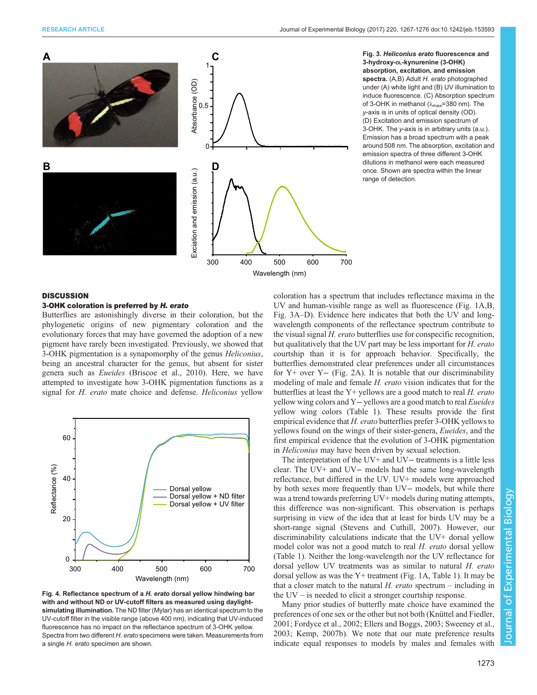<span id="page-6-0"></span>

Fig. 3. Heliconius erato fluorescence and 3-hydroxy-DL-kynurenine (3-OHK) absorption, excitation, and emission spectra. (A,B) Adult H. erato photographed under (A) white light and (B) UV illumination to induce fluorescence. (C) Absorption spectrum of 3-OHK in methanol ( $\lambda_{\text{max}}$ =380 nm). The y-axis is in units of optical density (OD). (D) Excitation and emission spectrum of 3-OHK. The y-axis is in arbitrary units (a.u.). Emission has a broad spectrum with a peak around 508 nm. The absorption, excitation and emission spectra of three different 3-OHK dilutions in methanol were each measured once. Shown are spectra within the linear range of detection.

# **DISCUSSION**

## 3-OHK coloration is preferred by H. erato

Butterflies are astonishingly diverse in their coloration, but the phylogenetic origins of new pigmentary coloration and the evolutionary forces that may have governed the adoption of a new pigment have rarely been investigated. Previously, we showed that 3-OHK pigmentation is a synapomorphy of the genus Heliconius, being an ancestral character for the genus, but absent for sister genera such as Eueides ([Briscoe et al., 2010](#page-7-0)). Here, we have attempted to investigate how 3-OHK pigmentation functions as a signal for H. erato mate choice and defense. Heliconius yellow



Fig. 4. Reflectance spectrum of a H. erato dorsal yellow hindwing bar with and without ND or UV-cutoff filters as measured using daylightsimulating illumination. The ND filter (Mylar) has an identical spectrum to the UV-cutoff filter in the visible range (above 400 nm), indicating that UV-induced fluorescence has no impact on the reflectance spectrum of 3-OHK yellow. Spectra from two different H. erato specimens were taken. Measurements from a single H. erato specimen are shown.

coloration has a spectrum that includes reflectance maxima in the UV and human-visible range as well as fluorescence ([Fig. 1](#page-1-0)A,B, Fig. 3A–D). Evidence here indicates that both the UV and longwavelength components of the reflectance spectrum contribute to the visual signal H. erato butterflies use for conspecific recognition, but qualitatively that the UV part may be less important for H. erato courtship than it is for approach behavior. Specifically, the butterflies demonstrated clear preferences under all circumstances for Y+ over Y− ([Fig. 2](#page-5-0)A). It is notable that our discriminability modeling of male and female H. erato vision indicates that for the butterflies at least the  $Y+$  yellows are a good match to real  $H$ . erato yellow wing colors and Y− yellows are a good match to real Eueides yellow wing colors ([Table 1\)](#page-3-0). These results provide the first empirical evidence that H. erato butterflies prefer 3-OHK yellows to yellows found on the wings of their sister-genera, Eueides, and the first empirical evidence that the evolution of 3-OHK pigmentation in Heliconius may have been driven by sexual selection.

The interpretation of the UV+ and UV− treatments is a little less clear. The UV+ and UV− models had the same long-wavelength reflectance, but differed in the UV. UV+ models were approached by both sexes more frequently than UV− models, but while there was a trend towards preferring UV+ models during mating attempts, this difference was non-significant. This observation is perhaps surprising in view of the idea that at least for birds UV may be a short-range signal [\(Stevens and Cuthill, 2007](#page-9-0)). However, our discriminability calculations indicate that the UV+ dorsal yellow model color was not a good match to real H. erato dorsal yellow [\(Table 1\)](#page-3-0). Neither the long-wavelength nor the UV reflectance for dorsal yellow UV treatments was as similar to natural H. erato dorsal yellow as was the Y+ treatment ([Fig. 1A](#page-1-0), [Table 1](#page-3-0)). It may be that a closer match to the natural  $H$ . *erato* spectrum – including in the UV – is needed to elicit a stronger courtship response.

Many prior studies of butterfly mate choice have examined the preferences of one sex or the other but not both ([Knüttel and Fiedler,](#page-8-0) [2001; Fordyce et al., 2002](#page-8-0); [Ellers and Boggs, 2003](#page-8-0); [Sweeney et al.,](#page-9-0) [2003;](#page-9-0) [Kemp, 2007b](#page-8-0)). We note that our mate preference results indicate equal responses to models by males and females with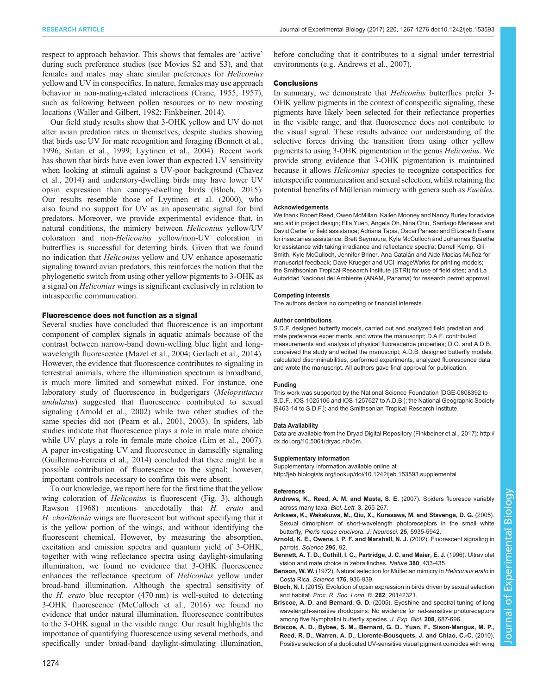<span id="page-7-0"></span>respect to approach behavior. This shows that females are 'active' during such preference studies (see [Movies S2 and S3](http://jeb.biologists.org/lookup/doi/10.1242/jeb.153593.supplemental)), and that females and males may share similar preferences for Heliconius yellow and UV in conspecifics. In nature, females may use approach behavior in non-mating-related interactions ([Crane, 1955](#page-8-0), [1957\)](#page-8-0), such as following between pollen resources or to new roosting locations ([Waller and Gilbert, 1982;](#page-9-0) [Finkbeiner, 2014](#page-8-0)).

Our field study results show that 3-OHK yellow and UV do not alter avian predation rates in themselves, despite studies showing that birds use UV for mate recognition and foraging (Bennett et al., 1996; [Siitari et al., 1999; Lyytinen et al., 2004\)](#page-8-0). Recent work has shown that birds have even lower than expected UV sensitivity when looking at stimuli against a UV-poor background [\(Chavez](#page-8-0) [et al., 2014\)](#page-8-0) and understory-dwelling birds may have lower UV opsin expression than canopy-dwelling birds (Bloch, 2015). Our results resemble those of [Lyytinen et al. \(2000\),](#page-8-0) who also found no support for UV as an aposematic signal for bird predators. Moreover, we provide experimental evidence that, in natural conditions, the mimicry between Heliconius yellow/UV coloration and non-Heliconius yellow/non-UV coloration in butterflies is successful for deterring birds. Given that we found no indication that Heliconius yellow and UV enhance aposematic signaling toward avian predators, this reinforces the notion that the phylogenetic switch from using other yellow pigments to 3-OHK as a signal on Heliconius wings is significant exclusively in relation to intraspecific communication.

#### Fluorescence does not function as a signal

Several studies have concluded that fluorescence is an important component of complex signals in aquatic animals because of the contrast between narrow-band down-welling blue light and longwavelength fluorescence [\(Mazel et al., 2004; Gerlach et al., 2014\)](#page-8-0). However, the evidence that fluorescence contributes to signaling in terrestrial animals, where the illumination spectrum is broadband, is much more limited and somewhat mixed. For instance, one laboratory study of fluorescence in budgerigars (Melopsittacus undulatus) suggested that fluorescence contributed to sexual signaling (Arnold et al., 2002) while two other studies of the same species did not [\(Pearn et al., 2001, 2003](#page-8-0)). In spiders, lab studies indicate that fluorescence plays a role in male mate choice while UV plays a role in female mate choice ([Lim et al., 2007\)](#page-8-0). A paper investigating UV and fluorescence in damselfly signaling [\(Guillermo-Ferreira et al., 2014\)](#page-8-0) concluded that there might be a possible contribution of fluorescence to the signal; however, important controls necessary to confirm this were absent.

To our knowledge, we report here for the first time that the yellow wing coloration of *Heliconius* is fluorescent [\(Fig. 3\)](#page-6-0), although [Rawson \(1968\)](#page-8-0) mentions anecdotally that H. erato and H. charithonia wings are fluorescent but without specifying that it is the yellow portion of the wings, and without identifying the fluorescent chemical. However, by measuring the absorption, excitation and emission spectra and quantum yield of 3-OHK, together with wing reflectance spectra using daylight-simulating illumination, we found no evidence that 3-OHK fluorescence enhances the reflectance spectrum of Heliconius yellow under broad-band illumination. Although the spectral sensitivity of the  $H$ . *erato* blue receptor  $(470 \text{ nm})$  is well-suited to detecting 3-OHK fluorescence ([McCulloch et al., 2016](#page-8-0)) we found no evidence that under natural illumination, fluorescence contributes to the 3-OHK signal in the visible range. Our result highlights the importance of quantifying fluorescence using several methods, and specifically under broad-band daylight-simulating illumination,

#### **Conclusions**

In summary, we demonstrate that Heliconius butterflies prefer 3- OHK yellow pigments in the context of conspecific signaling, these pigments have likely been selected for their reflectance properties in the visible range, and that fluorescence does not contribute to the visual signal. These results advance our understanding of the selective forces driving the transition from using other yellow pigments to using 3-OHK pigmentation in the genus Heliconius. We provide strong evidence that 3-OHK pigmentation is maintained because it allows Heliconius species to recognize conspecifics for interspecific communication and sexual selection, whilst retaining the potential benefits of Müllerian mimicry with genera such as Eueides.

#### **Acknowledgements**

We thank Robert Reed, Owen McMillan, Kailen Mooney and Nancy Burley for advice and aid in project design; Ella Yuen, Angela Oh, Nina Chiu, Santiago Meneses and David Carter for field assistance; Adriana Tapia, Oscar Paneso and Elizabeth Evans for insectaries assistance; Brett Seymoure, Kyle McCulloch and Johannes Spaethe for assistance with taking irradiance and reflectance spectra; Darrell Kemp, Gil Smith, Kyle McCulloch, Jennifer Briner, Ana Catalán and Aide Macias-Muñoz for manuscript feedback; Dave Krueger and UCI ImageWorks for printing models; the Smithsonian Tropical Research Institute (STRI) for use of field sites; and La Autoridad Nacional del Ambiente (ANAM, Panama) for research permit approval.

#### Competing interests

The authors declare no competing or financial interests.

#### Author contributions

S.D.F. designed butterfly models, carried out and analyzed field predation and mate preference experiments, and wrote the manuscript; D.A.F. contributed measurements and analysis of physical fluorescence properties; D.O. and A.D.B. conceived the study and edited the manuscript; A.D.B. designed butterfly models, calculated discriminabilities, performed experiments, analyzed fluorescence data and wrote the manuscript. All authors gave final approval for publication.

### Funding

This work was supported by the National Science Foundation [DGE-0808392 to S.D.F., IOS-1025106 and IOS-1257627 to A.D.B.]; the National Geographic Society [9463-14 to S.D.F.]; and the Smithsonian Tropical Research Institute.

#### Data Availability

Data are available from the Dryad Digital Repository (Finkbeiner et al., 2017): [http://](http://dx.doi.org/10.5061/dryad.n0v5m) [dx.doi.org/10.5061/dryad.n0v5m](http://dx.doi.org/10.5061/dryad.n0v5m).

#### Supplementary information

Supplementary information available online at <http://jeb.biologists.org/lookup/doi/10.1242/jeb.153593.supplemental>

## References

- [Andrews, K., Reed, A. M. and Masta, S. E.](http://dx.doi.org/10.1098/rsbl.2007.0016) (2007). Spiders fluoresce variably [across many taxa.](http://dx.doi.org/10.1098/rsbl.2007.0016) Biol. Lett. 3, 265-267.
- [Arikawa, K., Wakakuwa, M., Qiu, X., Kurasawa, M. and Stavenga, D. G.](http://dx.doi.org/10.1523/JNEUROSCI.1364-05.2005) (2005). [Sexual dimorphism of short-wavelength photoreceptors in the small white](http://dx.doi.org/10.1523/JNEUROSCI.1364-05.2005) butterfly, [Pieris rapae crucivora](http://dx.doi.org/10.1523/JNEUROSCI.1364-05.2005). J. Neurosci. 25, 5935-5942.
- [Arnold, K. E., Owens, I. P. F. and Marshall, N. J.](http://dx.doi.org/10.1126/science.295.5552.92) (2002). Fluorescent signaling in parrots. [Science](http://dx.doi.org/10.1126/science.295.5552.92) 295, 92.
- [Bennett, A. T. D., Cuthill, I. C., Partridge, J. C. and Maier, E. J.](http://dx.doi.org/10.1038/380433a0) (1996). Ultraviolet [vision and mate choice in zebra finches.](http://dx.doi.org/10.1038/380433a0) Nature 380, 433-435.
- Benson, W. W. (1972). Natural selection for Müllerian mimicry in Heliconius erato in [Costa Rica.](http://dx.doi.org/10.1126/science.176.4037.936) Science 176, 936-939.
- Bloch, N. I. [\(2015\). Evolution of opsin expression in birds driven by sexual selection](http://dx.doi.org/10.1098/rspb.2014.2321) and habitat. [Proc. R. Soc. Lond. B.](http://dx.doi.org/10.1098/rspb.2014.2321) 282, 20142321.
- Briscoe, A. D. and Bernard, G. D. [\(2005\). Eyeshine and spectral tuning of long](http://dx.doi.org/10.1242/jeb.01453) [wavelength-sensitive rhodopsins: No evidence for red-sensitive photoreceptors](http://dx.doi.org/10.1242/jeb.01453) [among five Nymphalini butterfly species.](http://dx.doi.org/10.1242/jeb.01453) J. Exp. Biol. 208, 687-696.
- [Briscoe, A. D., Bybee, S. M., Bernard, G. D., Yuan, F., Sison-Mangus, M. P.,](http://dx.doi.org/10.1073/pnas.0910085107) [Reed, R. D., Warren, A. D., Llorente-Bousquets, J. and Chiao, C.-C.](http://dx.doi.org/10.1073/pnas.0910085107) (2010). [Positive selection of a duplicated UV-sensitive visual pigment coincides with wing](http://dx.doi.org/10.1073/pnas.0910085107)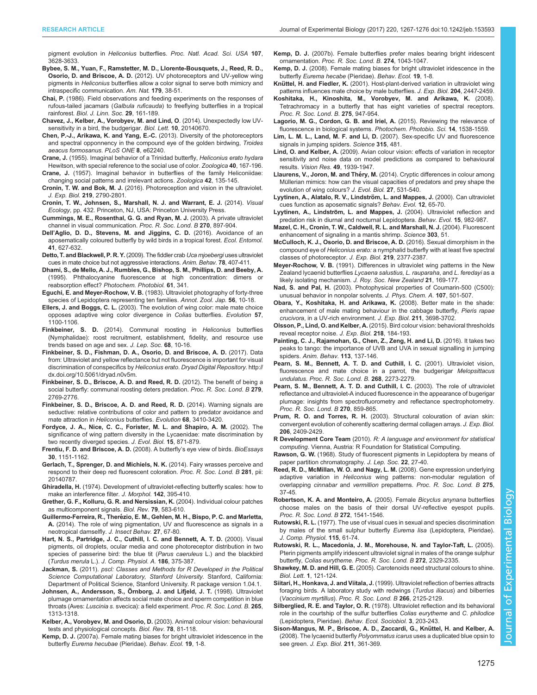<span id="page-8-0"></span>pigment evolution in Heliconius butterflies. [Proc. Natl. Acad. Sci. USA](http://dx.doi.org/10.1073/pnas.0910085107) 107, [3628-3633.](http://dx.doi.org/10.1073/pnas.0910085107)

- [Bybee, S. M., Yuan, F., Ramstetter, M. D., Llorente-Bousquets, J., Reed, R. D.,](http://dx.doi.org/10.1086/663192) Osorio, D. and Briscoe, A. D. [\(2012\). UV photoreceptors and UV-yellow wing](http://dx.doi.org/10.1086/663192) pigments in Heliconius [butterflies allow a color signal to serve both mimicry and](http://dx.doi.org/10.1086/663192) [intraspecific communication.](http://dx.doi.org/10.1086/663192) Am. Nat. 179, 38-51.
- Chai, P. [\(1986\). Field observations and feeding experiments on the responses of](http://dx.doi.org/10.1111/j.1095-8312.1986.tb01772.x) rufous-tailed jacamars (Galbula ruficauda[\) to freeflying butterflies in a tropical](http://dx.doi.org/10.1111/j.1095-8312.1986.tb01772.x) rainforest. [Biol. J. Linn. Soc.](http://dx.doi.org/10.1111/j.1095-8312.1986.tb01772.x) 29, 161-189.
- [Chavez, J., Kelber, A., Vorobyev, M. and Lind, O](http://dx.doi.org/10.1098/rsbl.2014.0670). (2014). Unexpectedly low UV[sensitivity in a bird, the budgerigar.](http://dx.doi.org/10.1098/rsbl.2014.0670) Biol. Lett. 10, 20140670.
- [Chen, P.-J., Arikawa, K. and Yang, E.-C.](http://dx.doi.org/10.1371/journal.pone.0062240) (2013). Diversity of the photoreceptors [and spectral opponnency in the compound eye of the golden birdwing,](http://dx.doi.org/10.1371/journal.pone.0062240) Troides [aeacus formosanus](http://dx.doi.org/10.1371/journal.pone.0062240). PLoS ONE 8, e62240.
- Crane, J. (1955). Imaginal behavior of a Trinidad butterfly, Heliconius erato hydara Hewitson, with special reference to the social use of color. Zoologica 40, 167-196. Crane, J. (1957). Imaginal behavior in butterflies of the family Heliconiidae:
- changing social patterns and irrelevant actions. Zoologica 42, 135-145.
- Cronin, T. W. and Bok, M. J. [\(2016\). Photoreception and vision in the ultraviolet.](http://dx.doi.org/10.1242/jeb.128769) J. Exp. Biol. 219[, 2790-2801.](http://dx.doi.org/10.1242/jeb.128769)
- Cronin, T. W., Johnsen, S., Marshall, N. J. and Warrant, E. J. (2014). Visual Ecology, pp. 432. Princeton, NJ, USA: Princeton University Press.
- [Cummings, M. E., Rosenthal, G. G. and Ryan, M. J.](http://dx.doi.org/10.1098/rspb.2003.2334) (2003). A private ultraviolet [channel in visual communication.](http://dx.doi.org/10.1098/rspb.2003.2334) Proc. R. Soc. Lond. B 270, 897-904.
- Dell'[Aglio, D. D., Stevens, M. and Jiggins, C. D.](http://dx.doi.org/10.1111/een.12335) (2016). Avoidance of an [aposematically coloured butterfly by wild birds in a tropical forest.](http://dx.doi.org/10.1111/een.12335) Ecol. Entomol. 41[, 627-632.](http://dx.doi.org/10.1111/een.12335)
- [Detto, T. and Blackwell, P. R. Y.](http://dx.doi.org/10.1016/j.anbehav.2009.05.014) (2009). The fiddler crab Uca mjoebergi uses ultraviolet [cues in mate choice but not aggressive interactions.](http://dx.doi.org/10.1016/j.anbehav.2009.05.014) Anim. Behav. 78, 407-411.
- [Dhami, S., de Mello, A. J., Rumbles, G., Bishop, S. M., Phillips, D. and Beeby, A.](http://dx.doi.org/10.1111/j.1751-1097.1995.tb08619.x) [\(1995\). Phthalocyanine fluorescence at high concentration: dimers or](http://dx.doi.org/10.1111/j.1751-1097.1995.tb08619.x) reabsorption effect? [Photochem. Photobiol.](http://dx.doi.org/10.1111/j.1751-1097.1995.tb08619.x) 61, 341.
- Eguchi, E. and Meyer-Rochow, V. B. (1983). Ultraviolet photography of forty-three species of Lepidoptera representing ten families. Annot. Zool. Jap. 56, 10-18.
- Ellers, J. and Boggs, C. L. [\(2003\). The evolution of wing color: male mate choice](http://dx.doi.org/10.1111/j.0014-3820.2003.tb00319.x) [opposes adaptive wing color divergence in](http://dx.doi.org/10.1111/j.0014-3820.2003.tb00319.x) Colias butterflies. Evolution 57, [1100-1106.](http://dx.doi.org/10.1111/j.0014-3820.2003.tb00319.x)
- Finkbeiner, S. D. [\(2014\). Communal roosting in](http://dx.doi.org/10.18473/lepi.v68i1.a2) Heliconius butterflies [\(Nymphalidae\): roost recruitment, establishment, fidelity, and resource use](http://dx.doi.org/10.18473/lepi.v68i1.a2) [trends based on age and sex.](http://dx.doi.org/10.18473/lepi.v68i1.a2) J. Lep. Soc. 68, 10-16.
- Finkbeiner, S. D., Fishman, D. A., Osorio, D. and Briscoe, A. D. (2017). Data from: Ultraviolet and yellow reflectance but not fluorescence is important for visual discrimination of conspecifics by Heliconius erato. Dryad Digital Repository. [http://](http://dx.doi.org/10.5061/dryad.n0v5m) [dx.doi.org/10.5061/dryad.n0v5m](http://dx.doi.org/10.5061/dryad.n0v5m).
- [Finkbeiner, S. D., Briscoe, A. D. and Reed, R. D.](http://dx.doi.org/10.1098/rspb.2012.0203) (2012). The benefit of being a [social butterfly: communal roosting deters predation.](http://dx.doi.org/10.1098/rspb.2012.0203) Proc. R. Soc. Lond. B 279, [2769-2776.](http://dx.doi.org/10.1098/rspb.2012.0203)
- [Finkbeiner, S. D., Briscoe, A. D. and Reed, R. D.](http://dx.doi.org/10.1111/evo.12524) (2014). Warning signals are [seductive: relative contributions of color and pattern to predator avoidance and](http://dx.doi.org/10.1111/evo.12524) [mate attraction in](http://dx.doi.org/10.1111/evo.12524) Heliconius butterflies. Evolution 68, 3410-3420.
- [Fordyce, J. A., Nice, C. C., Forister, M. L. and Shapiro, A. M.](http://dx.doi.org/10.1046/j.1420-9101.2002.00432.x) (2002). The [significance of wing pattern diversity in the Lycaenidae: mate discrimination by](http://dx.doi.org/10.1046/j.1420-9101.2002.00432.x) [two recently diverged species.](http://dx.doi.org/10.1046/j.1420-9101.2002.00432.x) J. Evol. Biol. 15, 871-879.
- [Frentiu, F. D. and Briscoe, A. D.](http://dx.doi.org/10.1002/bies.20828) (2008). A butterfly's eye view of birds. BioEssays 30[, 1151-1162.](http://dx.doi.org/10.1002/bies.20828)
- [Gerlach, T., Sprenger, D. and Michiels, N. K.](http://dx.doi.org/10.1098/rspb.2014.0787) (2014). Fairy wrasses perceive and [respond to their deep red fluorescent coloration.](http://dx.doi.org/10.1098/rspb.2014.0787) Proc. R. Soc. Lond. B 281, pii: [20140787.](http://dx.doi.org/10.1098/rspb.2014.0787)
- Ghiradella, H. [\(1974\). Development of ultraviolet-reflecting butterfly scales: how to](http://dx.doi.org/10.1002/jmor.1051420404) [make an interference filter.](http://dx.doi.org/10.1002/jmor.1051420404) J. Morphol. 142, 395-410.
- [Grether, G. F., Kolluru, G. R. and Nersissian, K.](http://dx.doi.org/10.1017/S1464793103006390) (2004). Individual colour patches [as multicomponent signals.](http://dx.doi.org/10.1017/S1464793103006390) Biol. Rev. 79, 583-610.
- Guillermo-Ferreira, R., Theré[zio, E. M., Gehlen, M. H., Bispo, P. C. and Marletta,](http://dx.doi.org/10.1007/s10905-013-9406-4) A. [\(2014\). The role of wing pigmentation, UV and fluorescence as signals in a](http://dx.doi.org/10.1007/s10905-013-9406-4) [neotropical damselfly.](http://dx.doi.org/10.1007/s10905-013-9406-4) J. Insect Behav. 27, 67-80.
- [Hart, N. S., Partridge, J. C., Cuthill, I. C. and Bennett, A. T. D.](http://dx.doi.org/10.1007/s003590050437) (2000). Visual [pigments, oil droplets, ocular media and cone photoreceptor distribution in two](http://dx.doi.org/10.1007/s003590050437) [species of passerine bird: the blue tit \(](http://dx.doi.org/10.1007/s003590050437)Parus caeruleus L.) and the blackbird (Turdus merula L.). [J. Comp. Physiol. A.](http://dx.doi.org/10.1007/s003590050437) 186, 375-387.
- Jackman, S. (2011). pscl: Classes and Methods for R Developed in the Political Science Computational Laboratory, Stanford University. Stanford, California: Department of Political Science, Stanford University. R package version 1.04.1.
- [Johnsen, A., Andersson, S., O](http://dx.doi.org/10.1098/rspb.1998.0435)̈rnborg, J. and Lifjeld, J. T. (1998). Ultraviolet [plumage ornamentation affects social mate choice and sperm competition in blue](http://dx.doi.org/10.1098/rspb.1998.0435) throats (Aves: Luscinia s. [svecica\): a field experiment.](http://dx.doi.org/10.1098/rspb.1998.0435) Proc. R. Soc. Lond. B. 265, [1313-1318.](http://dx.doi.org/10.1098/rspb.1998.0435)
- [Kelber, A., Vorobyev, M. and Osorio, D.](http://dx.doi.org/10.1017/S1464793102005985) (2003). Animal colour vision: behavioural [tests and physiological concepts.](http://dx.doi.org/10.1017/S1464793102005985) Biol. Rev. 78, 81-118.
- Kemp, D. J. [\(2007a\). Female mating biases for bright ultraviolet iridescence in the](http://dx.doi.org/10.1093/beheco/arm094) butterfly [Eurema hecubae](http://dx.doi.org/10.1093/beheco/arm094) (Pieridae). Behav. Ecol. 19, 1-8.
- Kemp, D. J. [\(2007b\). Female butterflies prefer males bearing bright iridescent](http://dx.doi.org/10.1098/rspb.2006.0043) ornamentation. [Proc. R. Soc. Lond. B.](http://dx.doi.org/10.1098/rspb.2006.0043) 274, 1043-1047.
- Kemp, D. J. [\(2008\). Female mating biases for bright ultraviolet iridescence in the](http://dx.doi.org/10.1093/beheco/arm094) butterfly [Eurema hecabe](http://dx.doi.org/10.1093/beheco/arm094) (Pieridae). Behav. Ecol. 19, 1-8.
- Knüttel, H. and Fiedler, K. (2001). Host-plant-derived variation in ultraviolet wing patterns influences mate choice by male butterflies. J. Exp. Biol. 204, 2447-2459.
- [Koshitaka, H., Kinoshita, M., Vorobyev, M. and Arikawa, K.](http://dx.doi.org/10.1098/rspb.2007.1614) (2008). [Tetrachromacy in a butterfly that has eight varieties of spectral receptors.](http://dx.doi.org/10.1098/rspb.2007.1614) [Proc. R. Soc. Lond. B.](http://dx.doi.org/10.1098/rspb.2007.1614) 275, 947-954.
- [Lagorio, M. G., Cordon, G. B. and Iriel, A.](http://dx.doi.org/10.1039/C5PP00122F) (2015). Reviewing the relevance of fluorescence in biological systems. [Photochem. Photobio. Sci.](http://dx.doi.org/10.1039/C5PP00122F) 14, 1538-1559.
- Lim, L. M. L., Land, M. F. and Li, D. [\(2007\). Sex-specific UV and fluorescence](http://dx.doi.org/10.1126/science.1134254) [signals in jumping spiders.](http://dx.doi.org/10.1126/science.1134254) Science 315, 481.
- Lind, O. and Kelber, A. [\(2009\). Avian colour vision: effects of variation in receptor](http://dx.doi.org/10.1016/j.visres.2009.05.003) [sensitivity and noise data on model predictions as compared to behavioural](http://dx.doi.org/10.1016/j.visres.2009.05.003) results. Vision Res. 49[, 1939-1947.](http://dx.doi.org/10.1016/j.visres.2009.05.003)
- Llaurens, V., Joron, M. and Théry, M. [\(2014\). Cryptic differences in colour among](http://dx.doi.org/10.1111/jeb.12317) Mü[llerian mimics: how can the visual capacities of predators and prey shape the](http://dx.doi.org/10.1111/jeb.12317) [evolution of wing colours?](http://dx.doi.org/10.1111/jeb.12317) J. Evol. Biol. 27, 531-540.
- Lyytinen, A., Alatalo, R. V., Lindström, L. and Mappes, J. (2000). Can ultraviolet [cues function as aposematic signals?](http://dx.doi.org/10.1093/oxfordjournals.beheco.a000380) Behav. Evol. 12, 65-70.
- Lyytinen, A., Lindström, L. and Mappes, J. [\(2004\). Ultraviolet reflection and](http://dx.doi.org/10.1093/beheco/arh102) [predation risk in diurnal and nocturnal Lepidoptera.](http://dx.doi.org/10.1093/beheco/arh102) Behav. Evol. 15, 982-987.
- [Mazel, C. H., Cronin, T. W., Caldwell, R. L. and Marshall, N. J.](http://dx.doi.org/10.1126/science.1089803) (2004). Fluorescent [enhancement of signaling in a mantis shrimp.](http://dx.doi.org/10.1126/science.1089803) Science 303, 51.
- [McCulloch, K. J., Osorio, D. and Briscoe, A. D.](http://dx.doi.org/10.1242/jeb.136523) (2016). Sexual dimorphism in the compound eye of Heliconius erato: [a nymphalid butterfly with at least five spectral](http://dx.doi.org/10.1242/jeb.136523) [classes of photoreceptor.](http://dx.doi.org/10.1242/jeb.136523) J. Exp. Biol. 219, 2377-2387.
- Meyer-Rochow, V. B. [\(1991\). Differences in ultraviolet wing patterns in the New](http://dx.doi.org/10.1080/03036758.1991.10431405) Zealand lycaenid butterflies [Lycaena salustius, L. rauparaha](http://dx.doi.org/10.1080/03036758.1991.10431405), and L. feredayi as a [likely isolating mechanism.](http://dx.doi.org/10.1080/03036758.1991.10431405) J. Roy. Soc. New Zealand 21, 169-177.
- Nad, S. and Pal, H. [\(2003\). Photophysical properties of Coumarin-500 \(C500\):](http://dx.doi.org/10.1021/jp021141l) [unusual behavior in nonpolar solvents.](http://dx.doi.org/10.1021/jp021141l) J. Phys. Chem. A. 107, 501-507.
- [Obara, Y., Koshitaka, H. and Arikawa, K.](http://dx.doi.org/10.1242/jeb.021980) (2008). Better mate in the shade: [enhancement of male mating behaviour in the cabbage butterfly,](http://dx.doi.org/10.1242/jeb.021980) Pieris rapae crucivora[, in a UV-rich environment.](http://dx.doi.org/10.1242/jeb.021980) J. Exp. Biol. 211, 3698-3702.
- Olsson, P., Lind, O. and Kelber, A. [\(2015\). Bird colour vision: behavioral thresholds](http://dx.doi.org/10.1242/jeb.111187) [reveal receptor noise.](http://dx.doi.org/10.1242/jeb.111187) J. Exp. Biol. 218, 184-193.
- [Painting, C. J., Rajamohan, G., Chen, Z., Zeng, H. and Li, D.](http://dx.doi.org/10.1016/j.anbehav.2015.12.030) (2016). It takes two [peaks to tango: the importance of UVB and UVA in sexual signalling in jumping](http://dx.doi.org/10.1016/j.anbehav.2015.12.030) spiders. [Anim. Behav.](http://dx.doi.org/10.1016/j.anbehav.2015.12.030) 113, 137-146.
- [Pearn, S. M., Bennett, A. T. D. and Cuthill, I. C.](http://dx.doi.org/10.1098/rspb.2001.1813) (2001). Ultraviolet vision, [fluorescence and mate choice in a parrot, the budgerigar](http://dx.doi.org/10.1098/rspb.2001.1813) Melopsittacus undulatus. [Proc. R. Soc. Lond. B.](http://dx.doi.org/10.1098/rspb.2001.1813) 268, 2273-2279.
- [Pearn, S. M., Bennett, A. T. D. and Cuthill, I. C.](http://dx.doi.org/10.1098/rspb.2002.2315) (2003). The role of ultraviolet [reflectance and ultraviolet-A induced fluorescence in the appearance of bugerigar](http://dx.doi.org/10.1098/rspb.2002.2315) [plumage: insights from spectrofluorometry and reflectance spectrophotometry.](http://dx.doi.org/10.1098/rspb.2002.2315) [Proc. R. Soc. Lond. B](http://dx.doi.org/10.1098/rspb.2002.2315) 270, 859-865.
- Prum, R. O. and Torres, R. H. [\(2003\). Structural colouration of avian skin:](http://dx.doi.org/10.1242/jeb.00431) [convergent evolution of coherently scattering dermal collagen arrays.](http://dx.doi.org/10.1242/jeb.00431) J. Exp. Biol. 206[, 2409-2429.](http://dx.doi.org/10.1242/jeb.00431)
- R Development Core Team (2010). R: A language and environment for statistical computing. Vienna, Austria: R Foundation for Statistical Computing.
- Rawson, G. W. (1968). Study of fluorescent pigments in Lepidoptera by means of paper partition chromatography. J. Lep. Soc. 22, 27-40.
- [Reed, R. D., McMillan, W. O. and Nagy, L. M.](http://dx.doi.org/10.1098/rspb.2007.1115) (2008). Gene expression underlying adaptive variation in Heliconius [wing patterns: non-modular regulation of](http://dx.doi.org/10.1098/rspb.2007.1115) overlapping cinnabar and vermillion prepatterns. [Proc. R. Soc. Lond. B](http://dx.doi.org/10.1098/rspb.2007.1115) 275, [37-45.](http://dx.doi.org/10.1098/rspb.2007.1115)
- [Robertson, K. A. and Monteiro, A.](http://dx.doi.org/10.1098/rspb.2005.3142) (2005). Female Bicyclus anynana butterflies [choose males on the basis of their dorsal UV-reflective eyespot pupils.](http://dx.doi.org/10.1098/rspb.2005.3142) [Proc. R. Soc. Lond. B](http://dx.doi.org/10.1098/rspb.2005.3142) 272, 1541-1546.
- Rutowski, R. L. [\(1977\). The use of visual cues in sexual and species discrimination](http://dx.doi.org/10.1007/BF00667785) [by males of the small sulphur butterfly](http://dx.doi.org/10.1007/BF00667785) Eurema lisa (Lepidoptera, Pieridae). [J. Comp. Physiol.](http://dx.doi.org/10.1007/BF00667785) 115, 61-74.
- [Rutowski, R. L., Macedonia, J. M., Morehouse, N. and Taylor-Taft, L.](http://dx.doi.org/10.1098/rspb.2005.3216) (2005). [Pterin pigments amplify iridescent ultraviolet signal in males of the orange sulphur](http://dx.doi.org/10.1098/rspb.2005.3216) butterfly, [Colias eurytheme. Proc. R. Soc. Lond. B](http://dx.doi.org/10.1098/rspb.2005.3216) 272, 2329-2335.
- Shawkey, M. D. and Hill, G. E. [\(2005\). Carotenoids need structural colours to shine.](http://dx.doi.org/10.1098/rsbl.2004.0289) Biol. Lett. 1[, 121-124.](http://dx.doi.org/10.1098/rsbl.2004.0289)
- Siitari, H., Honkava, J. and Viitala, J. [\(1999\). Ultraviolet reflection of berries attracts](http://dx.doi.org/10.1098/rspb.1999.0897) [foraging birds. A laboratory study with redwings \(](http://dx.doi.org/10.1098/rspb.1999.0897)Turdus iliacus) and bilberries (Vaccinium myrtillus). [Proc. R. Soc. Lond. B](http://dx.doi.org/10.1098/rspb.1999.0897) 266, 2125-2129.
- Silberglied, R. E. and Taylor, O. R. [\(1978\). Ultraviolet reflection and its behavioral](http://dx.doi.org/10.1007/BF00296311) [role in the courtship of the sulfur butterflies](http://dx.doi.org/10.1007/BF00296311) Colias eurytheme and C. philodice [\(Lepidoptera, Pieridae\).](http://dx.doi.org/10.1007/BF00296311) Behav. Ecol. Sociobiol. 3, 203-243.
- Sison-Mangus, M. P., Briscoe, A. D., Zaccardi, G., Knüttel, H. and Kelber, A. (2008). The lycaenid butterfly Polyommatus icarus [uses a duplicated blue opsin to](http://dx.doi.org/10.1242/jeb.012617) see green. [J. Exp. Biol.](http://dx.doi.org/10.1242/jeb.012617) 211, 361-369.

1275